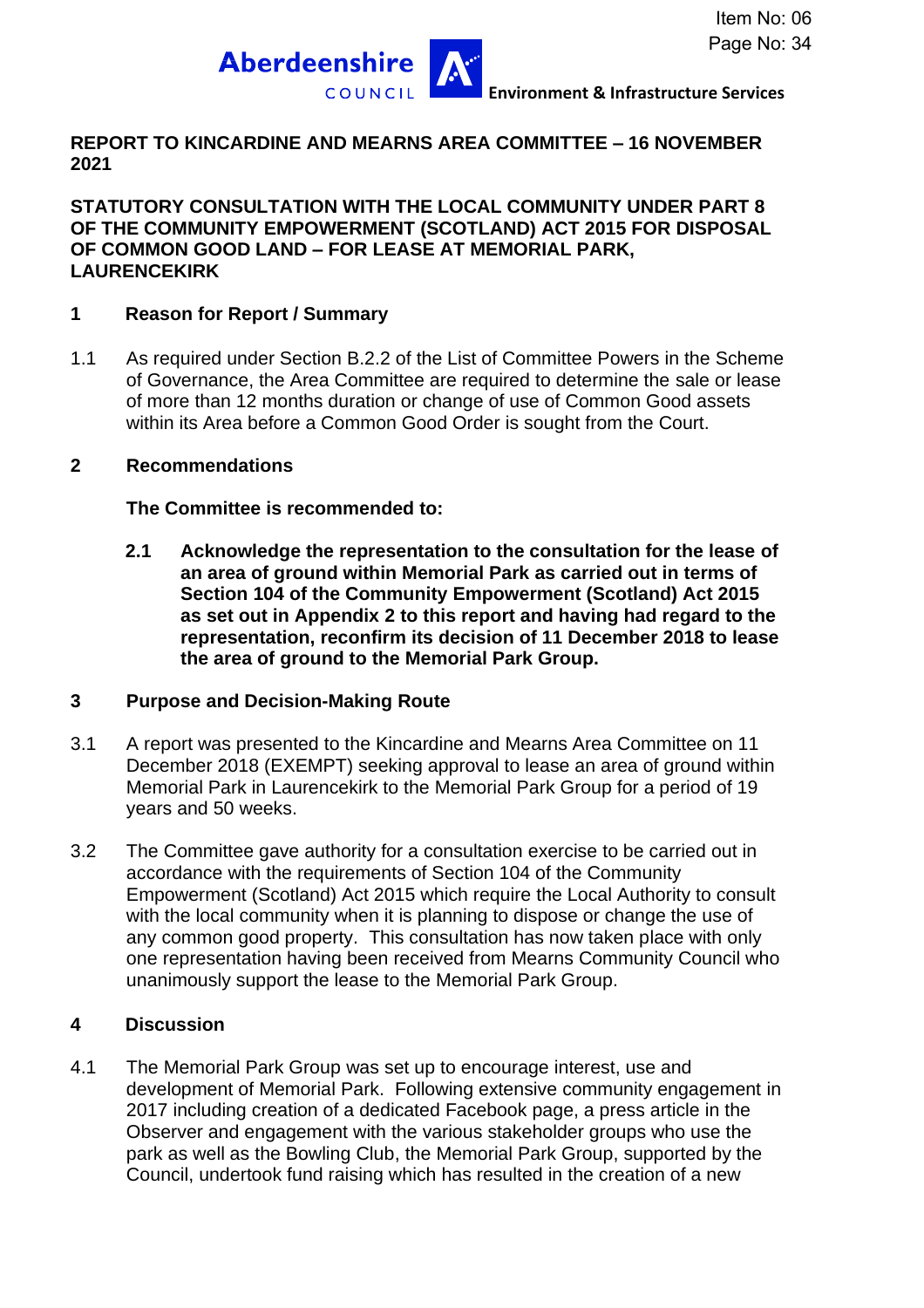

### **REPORT TO KINCARDINE AND MEARNS AREA COMMITTEE – 16 NOVEMBER 2021**

**STATUTORY CONSULTATION WITH THE LOCAL COMMUNITY UNDER PART 8 OF THE COMMUNITY EMPOWERMENT (SCOTLAND) ACT 2015 FOR DISPOSAL OF COMMON GOOD LAND – FOR LEASE AT MEMORIAL PARK, LAURENCEKIRK**

#### **1 Reason for Report / Summary**

1.1 As required under Section B.2.2 of the List of Committee Powers in the Scheme of Governance, the Area Committee are required to determine the sale or lease of more than 12 months duration or change of use of Common Good assets within its Area before a Common Good Order is sought from the Court.

#### **2 Recommendations**

**The Committee is recommended to:**

**2.1 Acknowledge the representation to the consultation for the lease of an area of ground within Memorial Park as carried out in terms of Section 104 of the Community Empowerment (Scotland) Act 2015 as set out in Appendix 2 to this report and having had regard to the representation, reconfirm its decision of 11 December 2018 to lease the area of ground to the Memorial Park Group.**

### **3 Purpose and Decision-Making Route**

- 3.1 A report was presented to the Kincardine and Mearns Area Committee on 11 December 2018 (EXEMPT) seeking approval to lease an area of ground within Memorial Park in Laurencekirk to the Memorial Park Group for a period of 19 years and 50 weeks.
- 3.2 The Committee gave authority for a consultation exercise to be carried out in accordance with the requirements of Section 104 of the Community Empowerment (Scotland) Act 2015 which require the Local Authority to consult with the local community when it is planning to dispose or change the use of any common good property. This consultation has now taken place with only one representation having been received from Mearns Community Council who unanimously support the lease to the Memorial Park Group.

### **4 Discussion**

4.1 The Memorial Park Group was set up to encourage interest, use and development of Memorial Park. Following extensive community engagement in 2017 including creation of a dedicated Facebook page, a press article in the Observer and engagement with the various stakeholder groups who use the park as well as the Bowling Club, the Memorial Park Group, supported by the Council, undertook fund raising which has resulted in the creation of a new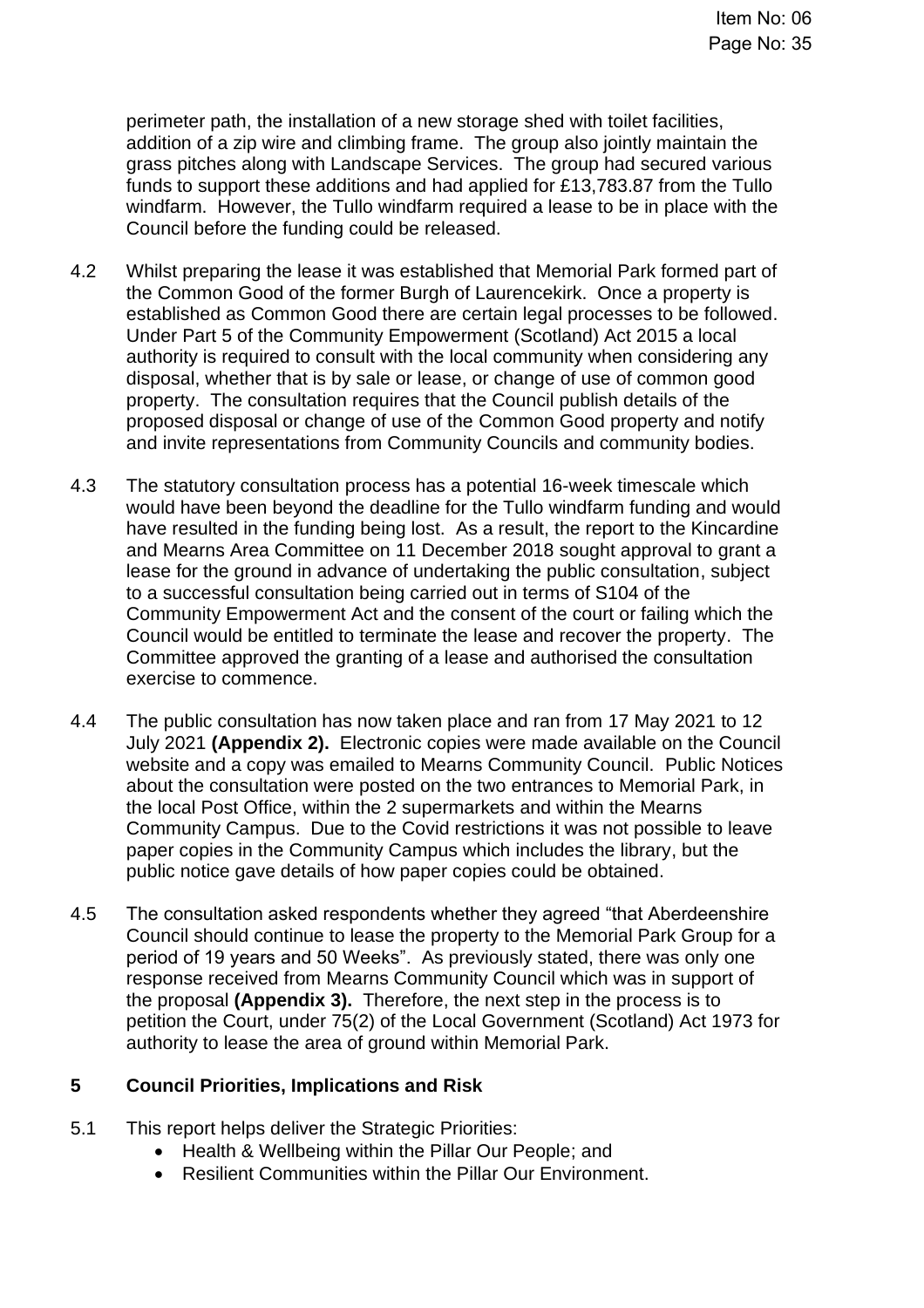perimeter path, the installation of a new storage shed with toilet facilities, addition of a zip wire and climbing frame. The group also jointly maintain the grass pitches along with Landscape Services. The group had secured various funds to support these additions and had applied for £13,783.87 from the Tullo windfarm. However, the Tullo windfarm required a lease to be in place with the Council before the funding could be released.

- 4.2 Whilst preparing the lease it was established that Memorial Park formed part of the Common Good of the former Burgh of Laurencekirk. Once a property is established as Common Good there are certain legal processes to be followed. Under Part 5 of the Community Empowerment (Scotland) Act 2015 a local authority is required to consult with the local community when considering any disposal, whether that is by sale or lease, or change of use of common good property. The consultation requires that the Council publish details of the proposed disposal or change of use of the Common Good property and notify and invite representations from Community Councils and community bodies.
- 4.3 The statutory consultation process has a potential 16-week timescale which would have been beyond the deadline for the Tullo windfarm funding and would have resulted in the funding being lost. As a result, the report to the Kincardine and Mearns Area Committee on 11 December 2018 sought approval to grant a lease for the ground in advance of undertaking the public consultation, subject to a successful consultation being carried out in terms of S104 of the Community Empowerment Act and the consent of the court or failing which the Council would be entitled to terminate the lease and recover the property. The Committee approved the granting of a lease and authorised the consultation exercise to commence.
- 4.4 The public consultation has now taken place and ran from 17 May 2021 to 12 July 2021 **(Appendix 2).** Electronic copies were made available on the Council website and a copy was emailed to Mearns Community Council. Public Notices about the consultation were posted on the two entrances to Memorial Park, in the local Post Office, within the 2 supermarkets and within the Mearns Community Campus. Due to the Covid restrictions it was not possible to leave paper copies in the Community Campus which includes the library, but the public notice gave details of how paper copies could be obtained.
- 4.5 The consultation asked respondents whether they agreed "that Aberdeenshire Council should continue to lease the property to the Memorial Park Group for a period of 19 years and 50 Weeks". As previously stated, there was only one response received from Mearns Community Council which was in support of the proposal **(Appendix 3).** Therefore, the next step in the process is to petition the Court, under 75(2) of the Local Government (Scotland) Act 1973 for authority to lease the area of ground within Memorial Park.

### **5 Council Priorities, Implications and Risk**

- 5.1 This report helps deliver the Strategic Priorities:
	- Health & Wellbeing within the Pillar Our People; and
	- Resilient Communities within the Pillar Our Environment.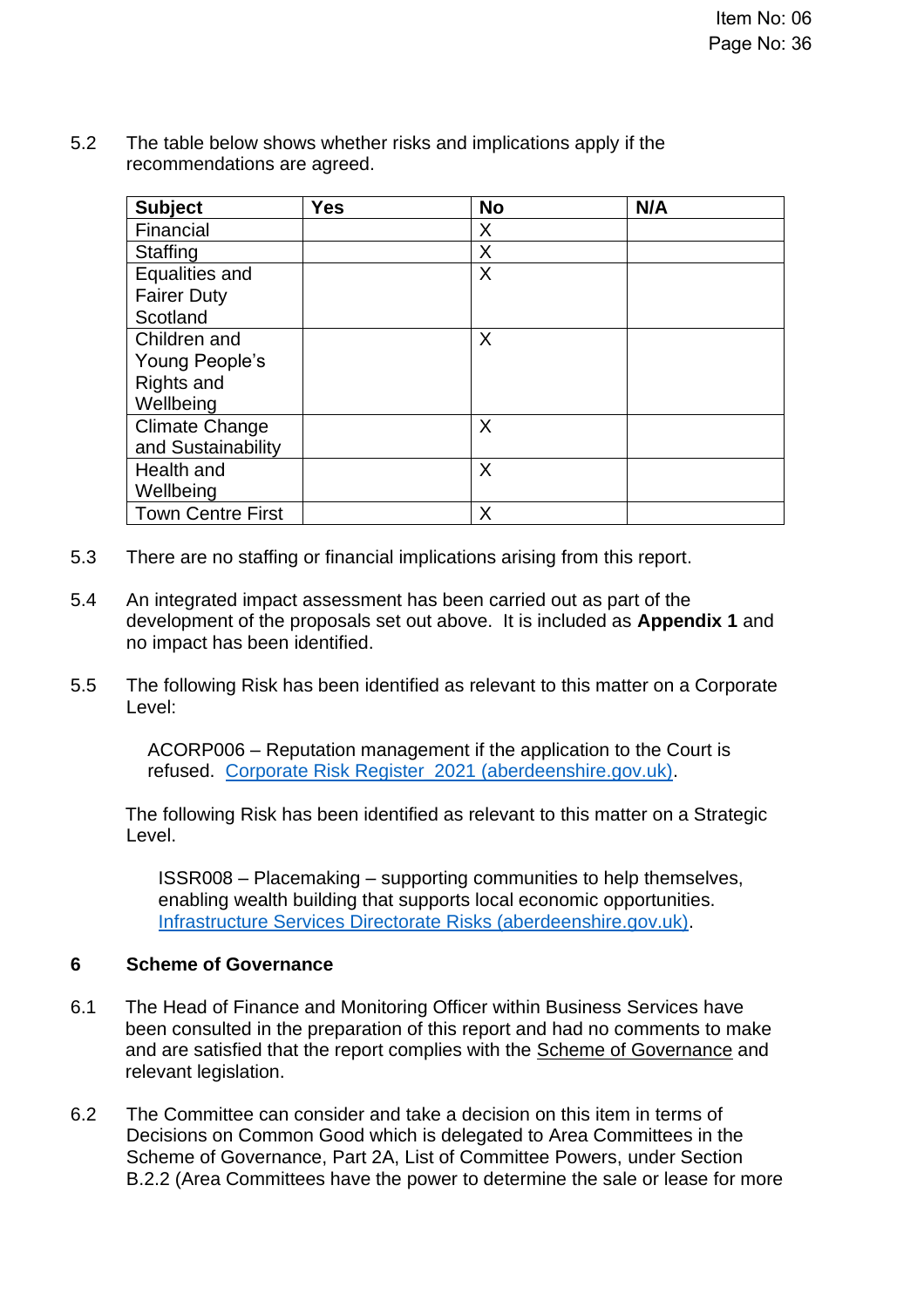5.2 The table below shows whether risks and implications apply if the recommendations are agreed.

| <b>Subject</b>           | <b>Yes</b> | <b>No</b> | N/A |
|--------------------------|------------|-----------|-----|
| Financial                |            | X         |     |
| <b>Staffing</b>          |            | X         |     |
| Equalities and           |            | X         |     |
| <b>Fairer Duty</b>       |            |           |     |
| Scotland                 |            |           |     |
| Children and             |            | X         |     |
| Young People's           |            |           |     |
| Rights and               |            |           |     |
| Wellbeing                |            |           |     |
| <b>Climate Change</b>    |            | X         |     |
| and Sustainability       |            |           |     |
| Health and               |            | X         |     |
| Wellbeing                |            |           |     |
| <b>Town Centre First</b> |            | Χ         |     |

- 5.3 There are no staffing or financial implications arising from this report.
- 5.4 An integrated impact assessment has been carried out as part of the development of the proposals set out above. It is included as **Appendix 1** and no impact has been identified.
- 5.5 The following Risk has been identified as relevant to this matter on a Corporate Level:

ACORP006 – Reputation management if the application to the Court is refused. [Corporate Risk Register\\_2021 \(aberdeenshire.gov.uk\).](https://www.aberdeenshire.gov.uk/media/26308/corporaterisks.pdf)

The following Risk has been identified as relevant to this matter on a Strategic Level.

ISSR008 – Placemaking – supporting communities to help themselves, enabling wealth building that supports local economic opportunities. [Infrastructure Services Directorate Risks \(aberdeenshire.gov.uk\).](https://www.aberdeenshire.gov.uk/media/26346/infrastructureservicesdirectoraterisks.pdf)

### **6 Scheme of Governance**

- 6.1 The Head of Finance and Monitoring Officer within Business Services have been consulted in the preparation of this report and had no comments to make and are satisfied that the report complies with the [Scheme of Governance](https://www.aberdeenshire.gov.uk/council-and-democracy/scheme-of-governance/) and relevant legislation.
- 6.2 The Committee can consider and take a decision on this item in terms of Decisions on Common Good which is delegated to Area Committees in the Scheme of Governance, Part 2A, List of Committee Powers, under Section B.2.2 (Area Committees have the power to determine the sale or lease for more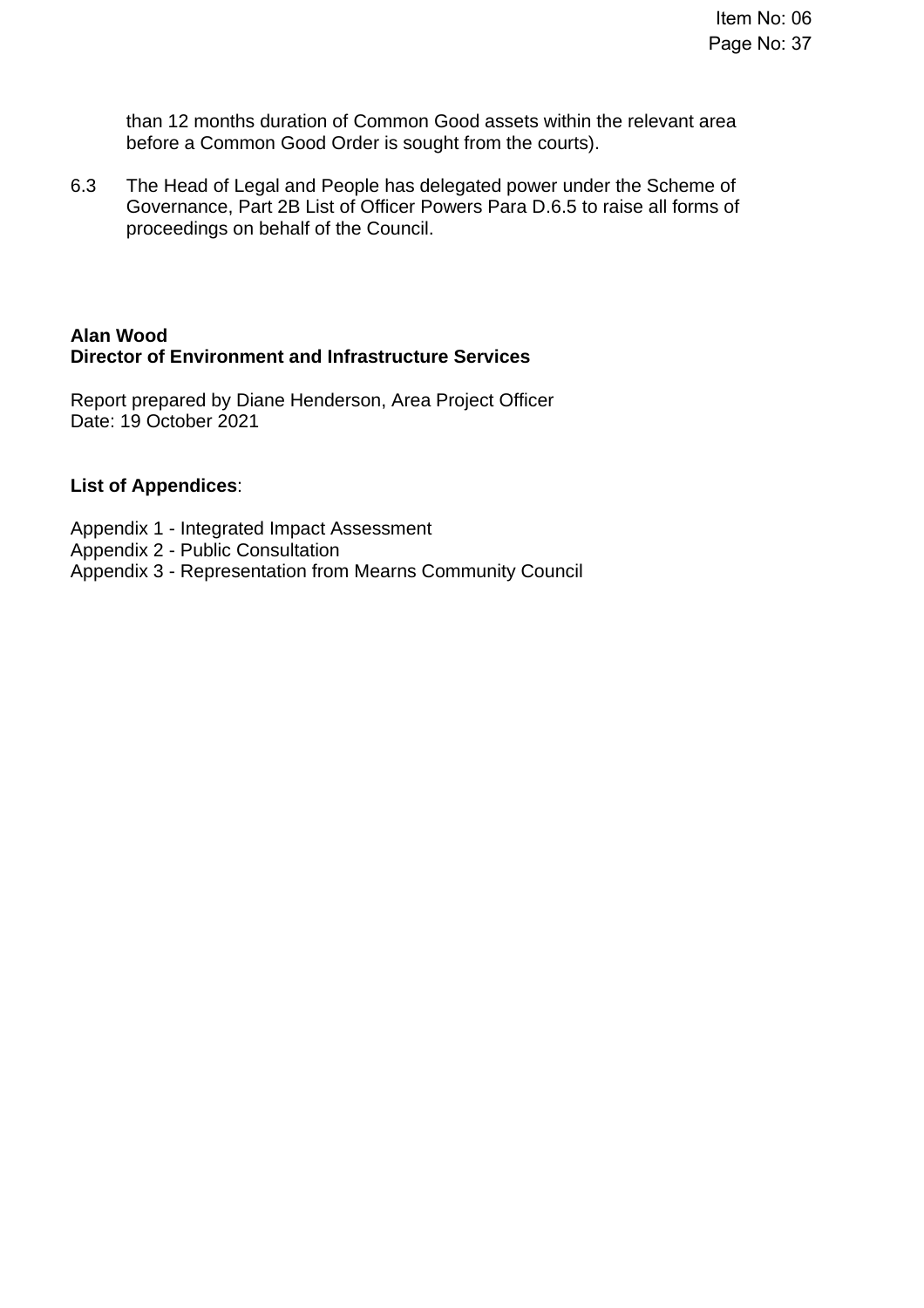than 12 months duration of Common Good assets within the relevant area before a Common Good Order is sought from the courts).

6.3 The Head of Legal and People has delegated power under the Scheme of Governance, Part 2B List of Officer Powers Para D.6.5 to raise all forms of proceedings on behalf of the Council.

### **Alan Wood Director of Environment and Infrastructure Services**

Report prepared by Diane Henderson, Area Project Officer Date: 19 October 2021

### **List of Appendices**:

- Appendix 1 Integrated Impact Assessment
- Appendix 2 Public Consultation
- Appendix 3 Representation from Mearns Community Council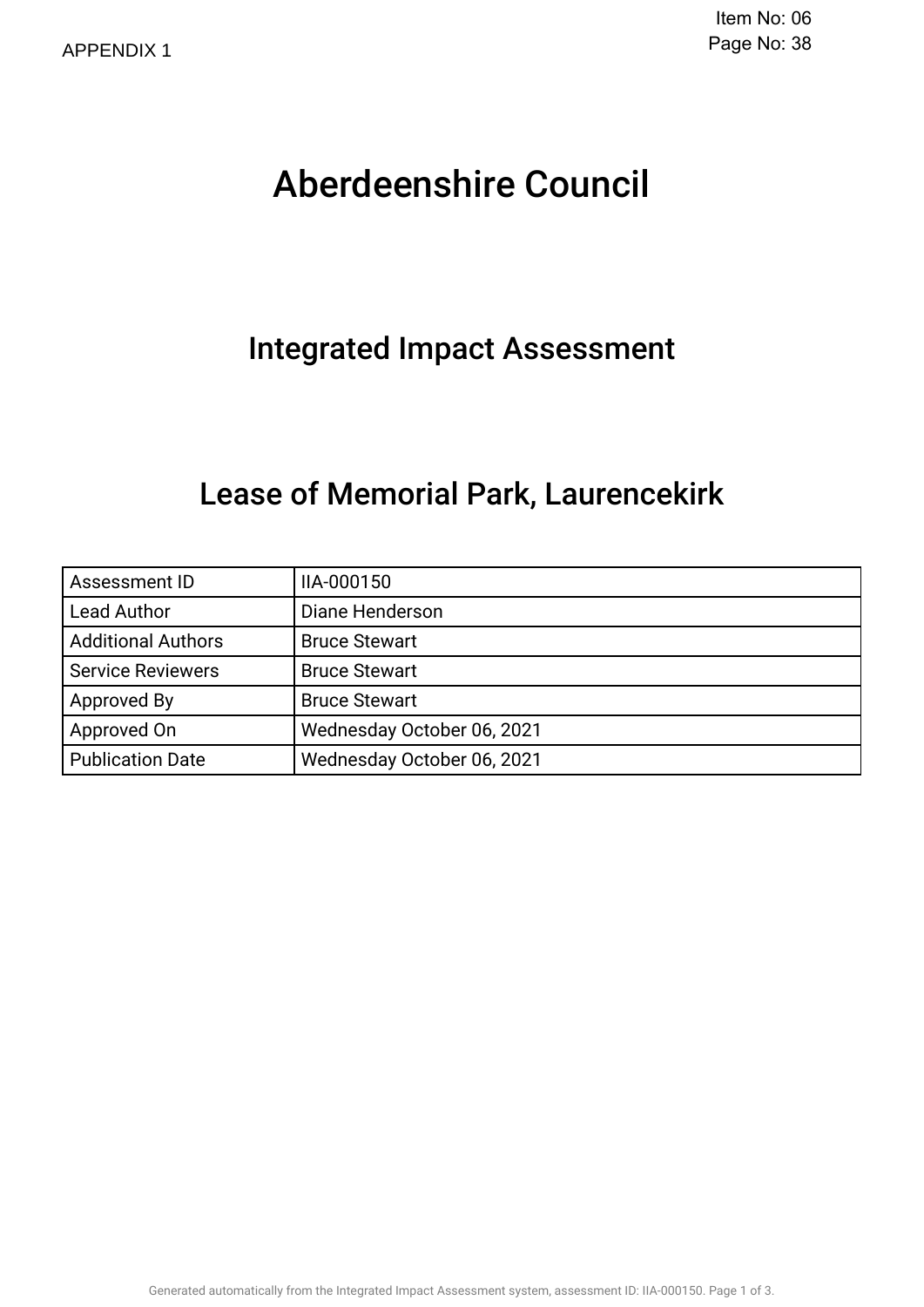# Aberdeenshire Council .

### Integrated Impact Assessment.

### Lease of Memorial Park, Laurencekirk.

| Assessment ID             | IIA-000150                 |  |  |
|---------------------------|----------------------------|--|--|
| <b>Lead Author</b>        | Diane Henderson            |  |  |
| <b>Additional Authors</b> | <b>Bruce Stewart</b>       |  |  |
| <b>Service Reviewers</b>  | <b>Bruce Stewart</b>       |  |  |
| Approved By               | <b>Bruce Stewart</b>       |  |  |
| Approved On               | Wednesday October 06, 2021 |  |  |
| <b>Publication Date</b>   | Wednesday October 06, 2021 |  |  |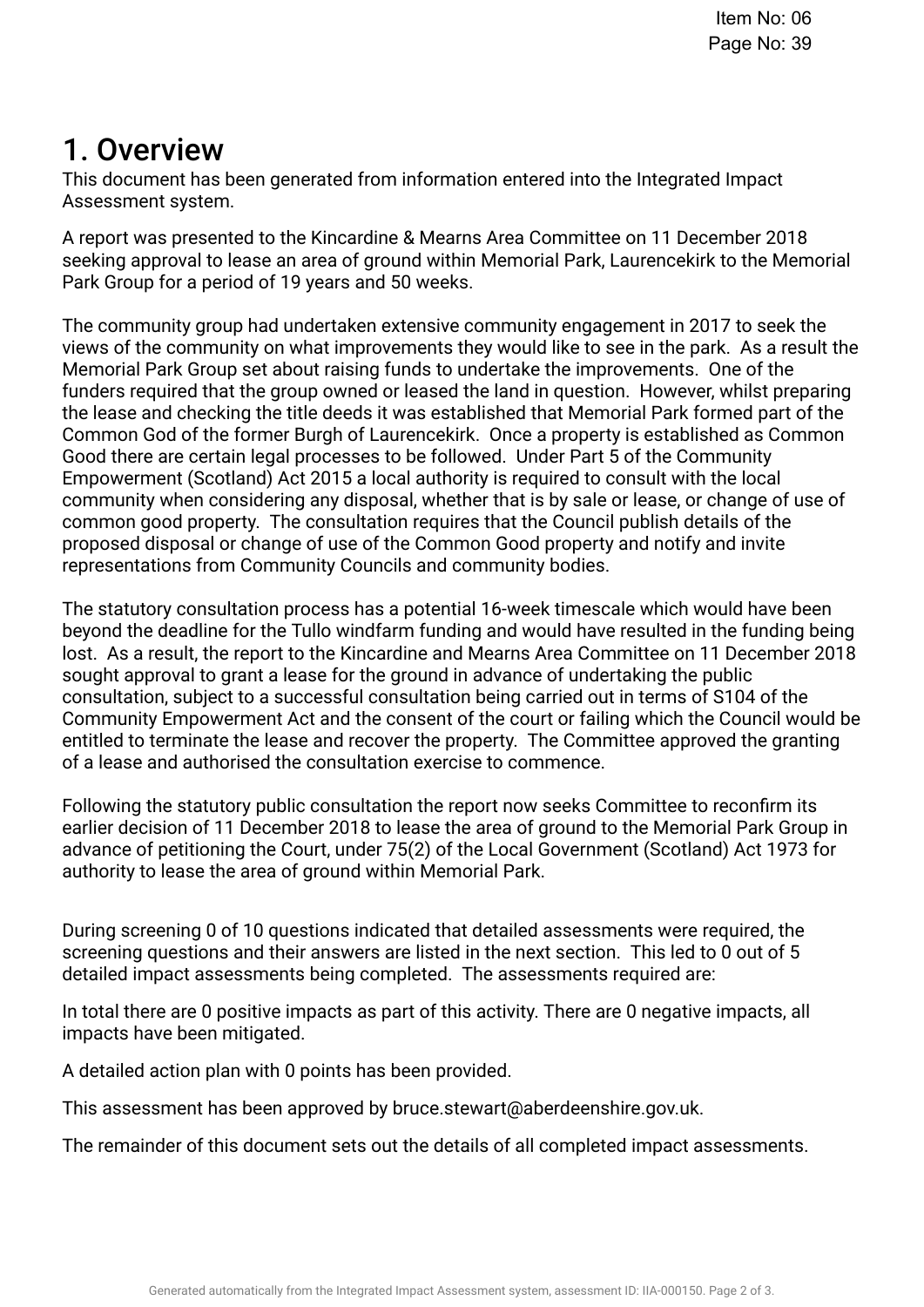### 1. Overview.

This document has been generated from information entered into the Integrated Impact Assessment system.

A report was presented to the Kincardine & Mearns Area Committee on 11 December 2018 seeking approval to lease an area of ground within Memorial Park, Laurencekirk to the Memorial Park Group for a period of 19 years and 50 weeks.

The community group had undertaken extensive community engagement in 2017 to seek the views of the community on what improvements they would like to see in the park. As a result the Memorial Park Group set about raising funds to undertake the improvements. One of the funders required that the group owned or leased the land in question. However, whilst preparing the lease and checking the title deeds it was established that Memorial Park formed part of the Common God of the former Burgh of Laurencekirk. Once a property is established as Common Good there are certain legal processes to be followed. Under Part 5 of the Community Empowerment (Scotland) Act 2015 a local authority is required to consult with the local community when considering any disposal, whether that is by sale or lease, or change of use of common good property. The consultation requires that the Council publish details of the proposed disposal or change of use of the Common Good property and notify and invite representations from Community Councils and community bodies.

The statutory consultation process has a potential 16-week timescale which would have been beyond the deadline for the Tullo windfarm funding and would have resulted in the funding being lost. As a result, the report to the Kincardine and Mearns Area Committee on 11 December 2018 sought approval to grant a lease for the ground in advance of undertaking the public consultation, subject to a successful consultation being carried out in terms of S104 of the Community Empowerment Act and the consent of the court or failing which the Council would be entitled to terminate the lease and recover the property. The Committee approved the granting of a lease and authorised the consultation exercise to commence.

Following the statutory public consultation the report now seeks Committee to reconfrm its earlier decision of 11 December 2018 to lease the area of ground to the Memorial Park Group in advance of petitioning the Court, under 75(2) of the Local Government (Scotland) Act 1973 for authority to lease the area of ground within Memorial Park.

During screening 0 of 10 questions indicated that detailed assessments were required, the screening questions and their answers are listed in the next section. This led to 0 out of 5 detailed impact assessments being completed. The assessments required are:

In total there are 0 positive impacts as part of this activity. There are 0 negative impacts, all impacts have been mitigated.

A detailed action plan with 0 points has been provided.

This assessment has been approved by bruce.stewart@aberdeenshire.gov.uk.

The remainder of this document sets out the details of all completed impact assessments.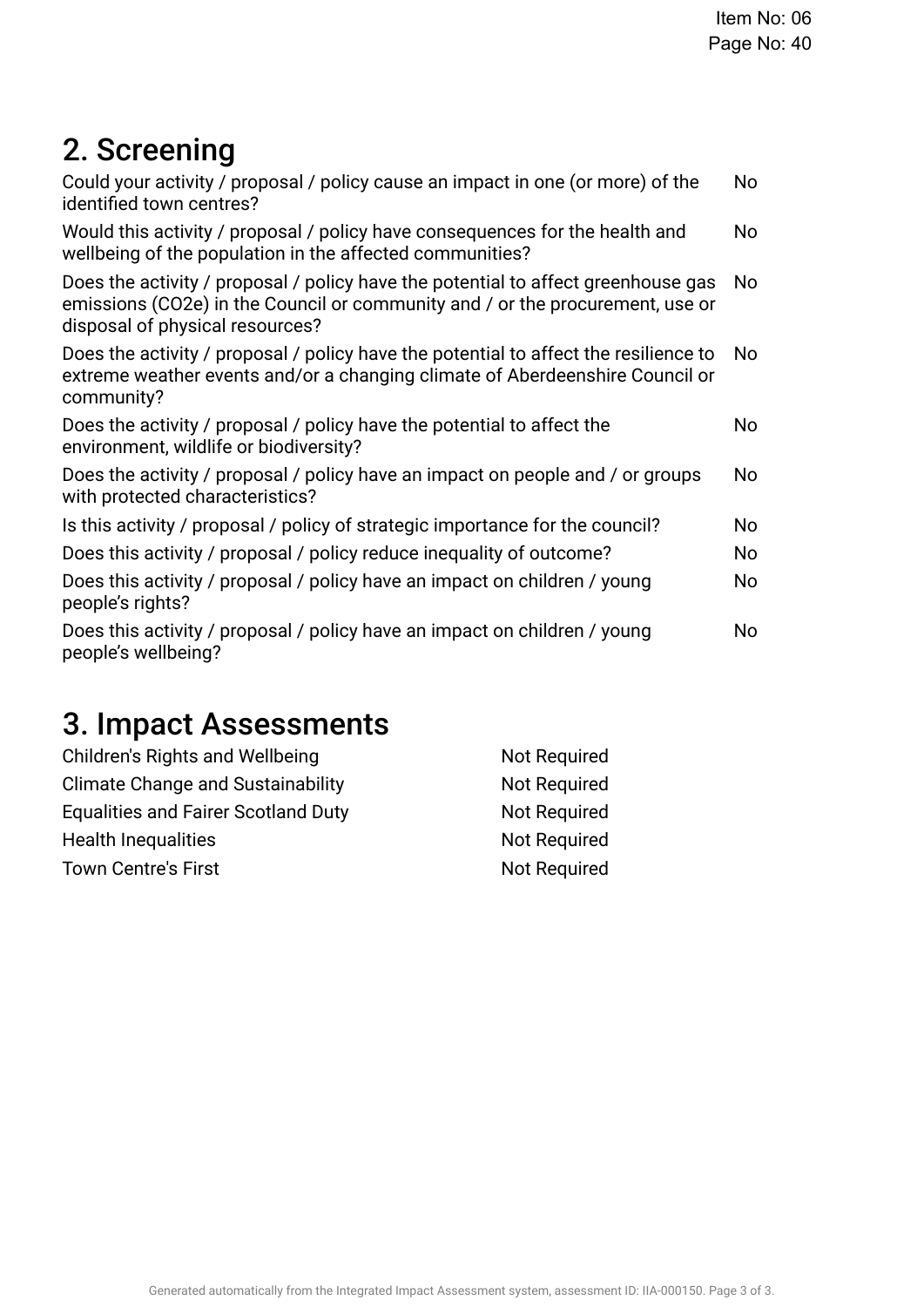## 2. Screening

| Could your activity / proposal / policy cause an impact in one (or more) of the<br>identified town centres?                                                                                           | No  |
|-------------------------------------------------------------------------------------------------------------------------------------------------------------------------------------------------------|-----|
| Would this activity / proposal / policy have consequences for the health and<br>wellbeing of the population in the affected communities?                                                              | No  |
| Does the activity / proposal / policy have the potential to affect greenhouse gas<br>emissions (CO2e) in the Council or community and / or the procurement, use or<br>disposal of physical resources? | No  |
| Does the activity / proposal / policy have the potential to affect the resilience to<br>extreme weather events and/or a changing climate of Aberdeenshire Council or<br>community?                    | No  |
| Does the activity / proposal / policy have the potential to affect the<br>environment, wildlife or biodiversity?                                                                                      | No  |
| Does the activity / proposal / policy have an impact on people and / or groups<br>with protected characteristics?                                                                                     | No  |
| Is this activity / proposal / policy of strategic importance for the council?                                                                                                                         | No. |
| Does this activity / proposal / policy reduce inequality of outcome?                                                                                                                                  | No  |
| Does this activity / proposal / policy have an impact on children / young<br>people's rights?                                                                                                         | No  |
| Does this activity / proposal / policy have an impact on children / young<br>people's wellbeing?                                                                                                      | No  |

## 3. Impact Assessments

| Children's Rights and Wellbeing            | Not Required |
|--------------------------------------------|--------------|
| <b>Climate Change and Sustainability</b>   | Not Required |
| <b>Equalities and Fairer Scotland Duty</b> | Not Required |
| <b>Health Inequalities</b>                 | Not Required |
| <b>Town Centre's First</b>                 | Not Required |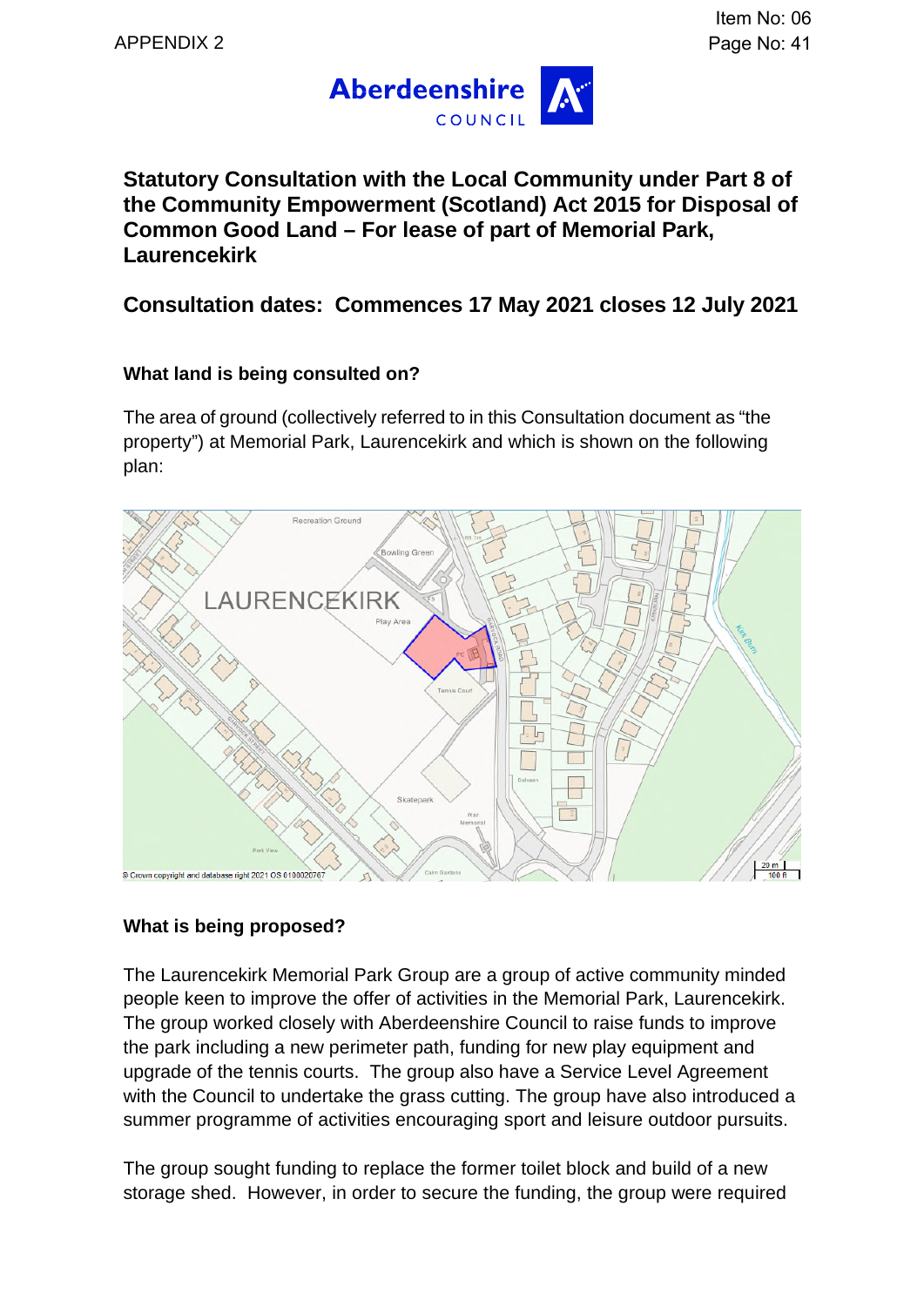

**Statutory Consultation with the Local Community under Part 8 of the Community Empowerment (Scotland) Act 2015 for Disposal of Common Good Land – For lease of part of Memorial Park, Laurencekirk** 

**Consultation dates: Commences 17 May 2021 closes 12 July 2021** 

### **What land is being consulted on?**

The area of ground (collectively referred to in this Consultation document as "the property") at Memorial Park, Laurencekirk and which is shown on the following plan:



### **What is being proposed?**

The Laurencekirk Memorial Park Group are a group of active community minded people keen to improve the offer of activities in the Memorial Park, Laurencekirk. The group worked closely with Aberdeenshire Council to raise funds to improve the park including a new perimeter path, funding for new play equipment and upgrade of the tennis courts. The group also have a Service Level Agreement with the Council to undertake the grass cutting. The group have also introduced a summer programme of activities encouraging sport and leisure outdoor pursuits.

The group sought funding to replace the former toilet block and build of a new storage shed. However, in order to secure the funding, the group were required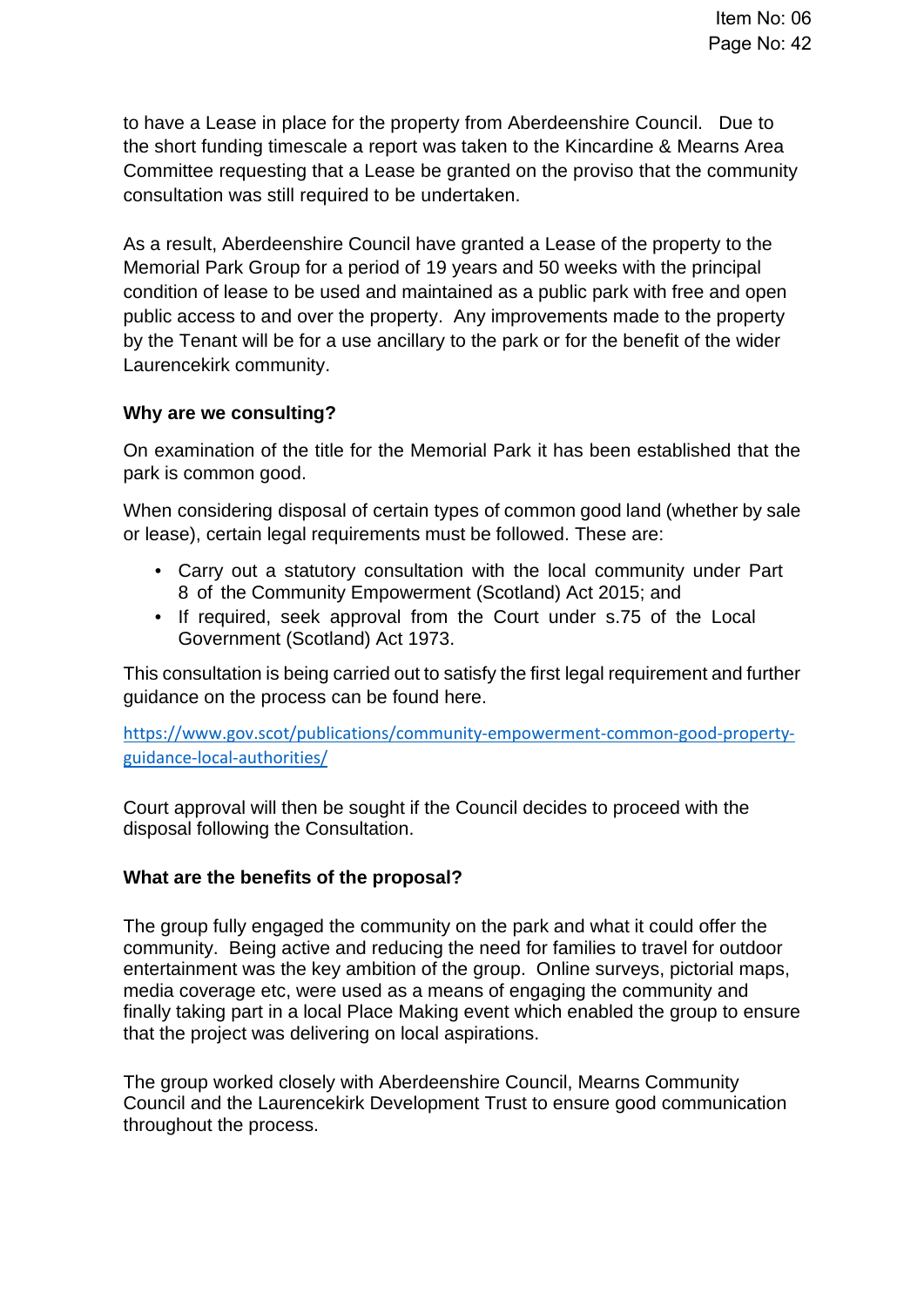to have a Lease in place for the property from Aberdeenshire Council. Due to the short funding timescale a report was taken to the Kincardine & Mearns Area Committee requesting that a Lease be granted on the proviso that the community consultation was still required to be undertaken.

As a result, Aberdeenshire Council have granted a Lease of the property to the Memorial Park Group for a period of 19 years and 50 weeks with the principal condition of lease to be used and maintained as a public park with free and open public access to and over the property. Any improvements made to the property by the Tenant will be for a use ancillary to the park or for the benefit of the wider Laurencekirk community.

### **Why are we consulting?**

On examination of the title for the Memorial Park it has been established that the park is common good.

When considering disposal of certain types of common good land (whether by sale or lease), certain legal requirements must be followed. These are:

- Carry out a statutory consultation with the local community under Part 8 of the Community Empowerment (Scotland) Act 2015; and
- If required, seek approval from the Court under s.75 of the Local Government (Scotland) Act 1973.

This consultation is being carried out to satisfy the first legal requirement and further guidance on the process can be found here.

https://www.gov.scot/publications/community-empowerment-common-good-propertyguidance-local-authorities/

Court approval will then be sought if the Council decides to proceed with the disposal following the Consultation.

### **What are the benefits of the proposal?**

The group fully engaged the community on the park and what it could offer the community. Being active and reducing the need for families to travel for outdoor entertainment was the key ambition of the group. Online surveys, pictorial maps, media coverage etc, were used as a means of engaging the community and finally taking part in a local Place Making event which enabled the group to ensure that the project was delivering on local aspirations.

The group worked closely with Aberdeenshire Council, Mearns Community Council and the Laurencekirk Development Trust to ensure good communication throughout the process.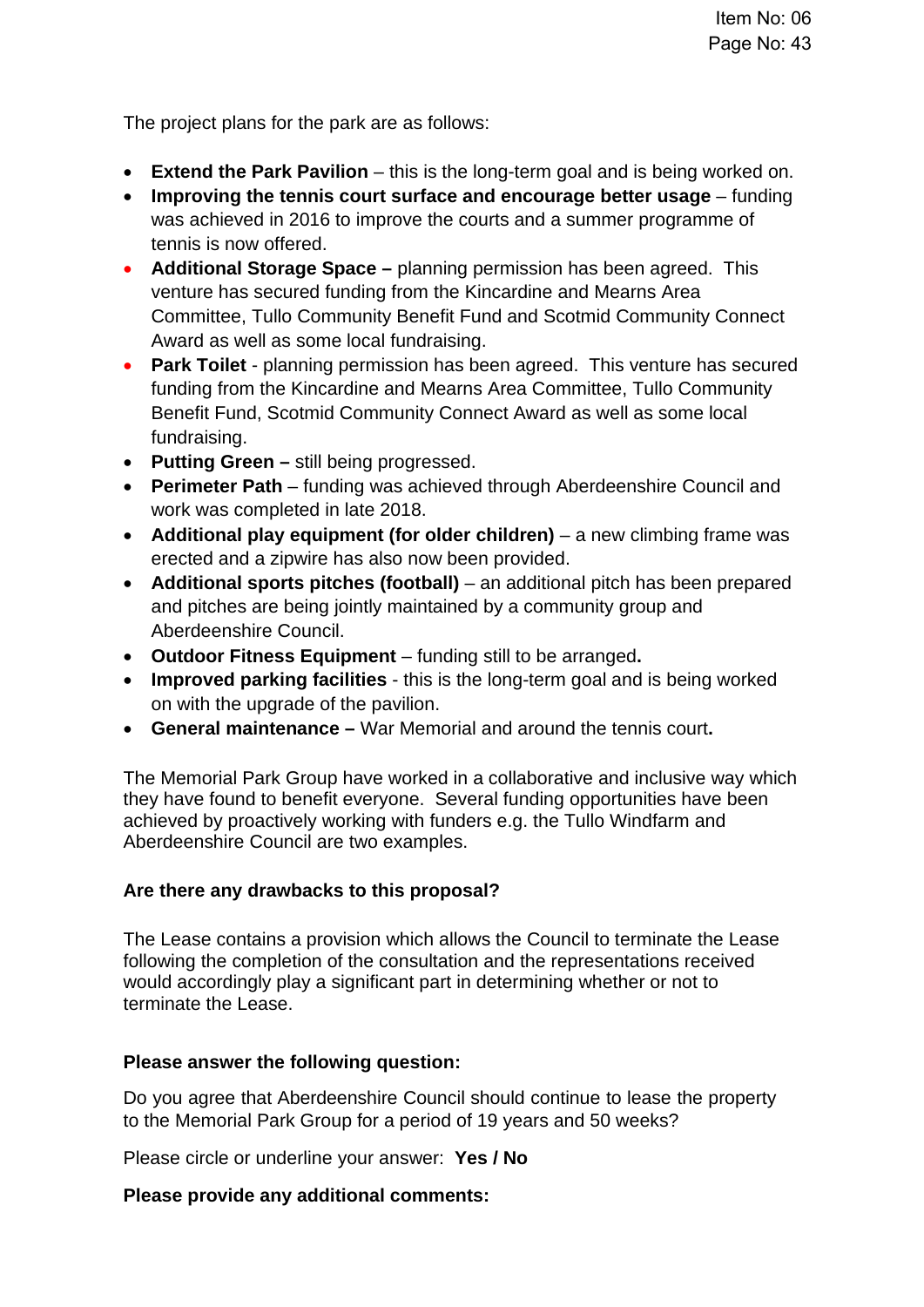The project plans for the park are as follows:

- **Extend the Park Pavilion** this is the long-term goal and is being worked on.
- **Improving the tennis court surface and encourage better usage** funding was achieved in 2016 to improve the courts and a summer programme of tennis is now offered.
- **Additional Storage Space** planning permission has been agreed. This venture has secured funding from the Kincardine and Mearns Area Committee, Tullo Community Benefit Fund and Scotmid Community Connect Award as well as some local fundraising.
- **Park Toilet** planning permission has been agreed. This venture has secured funding from the Kincardine and Mearns Area Committee, Tullo Community Benefit Fund, Scotmid Community Connect Award as well as some local fundraising.
- **Putting Green** still being progressed.
- **Perimeter Path** funding was achieved through Aberdeenshire Council and work was completed in late 2018.
- **Additional play equipment (for older children)** a new climbing frame was erected and a zipwire has also now been provided.
- **Additional sports pitches (football)** an additional pitch has been prepared and pitches are being jointly maintained by a community group and Aberdeenshire Council.
- **Outdoor Fitness Equipment** funding still to be arranged**.**
- **Improved parking facilities** this is the long-term goal and is being worked on with the upgrade of the pavilion.
- **General maintenance** War Memorial and around the tennis court**.**

The Memorial Park Group have worked in a collaborative and inclusive way which they have found to benefit everyone. Several funding opportunities have been achieved by proactively working with funders e.g. the Tullo Windfarm and Aberdeenshire Council are two examples.

### **Are there any drawbacks to this proposal?**

The Lease contains a provision which allows the Council to terminate the Lease following the completion of the consultation and the representations received would accordingly play a significant part in determining whether or not to terminate the Lease.

### **Please answer the following question:**

Do you agree that Aberdeenshire Council should continue to lease the property to the Memorial Park Group for a period of 19 years and 50 weeks?

Please circle or underline your answer: **Yes / No** 

### **Please provide any additional comments:**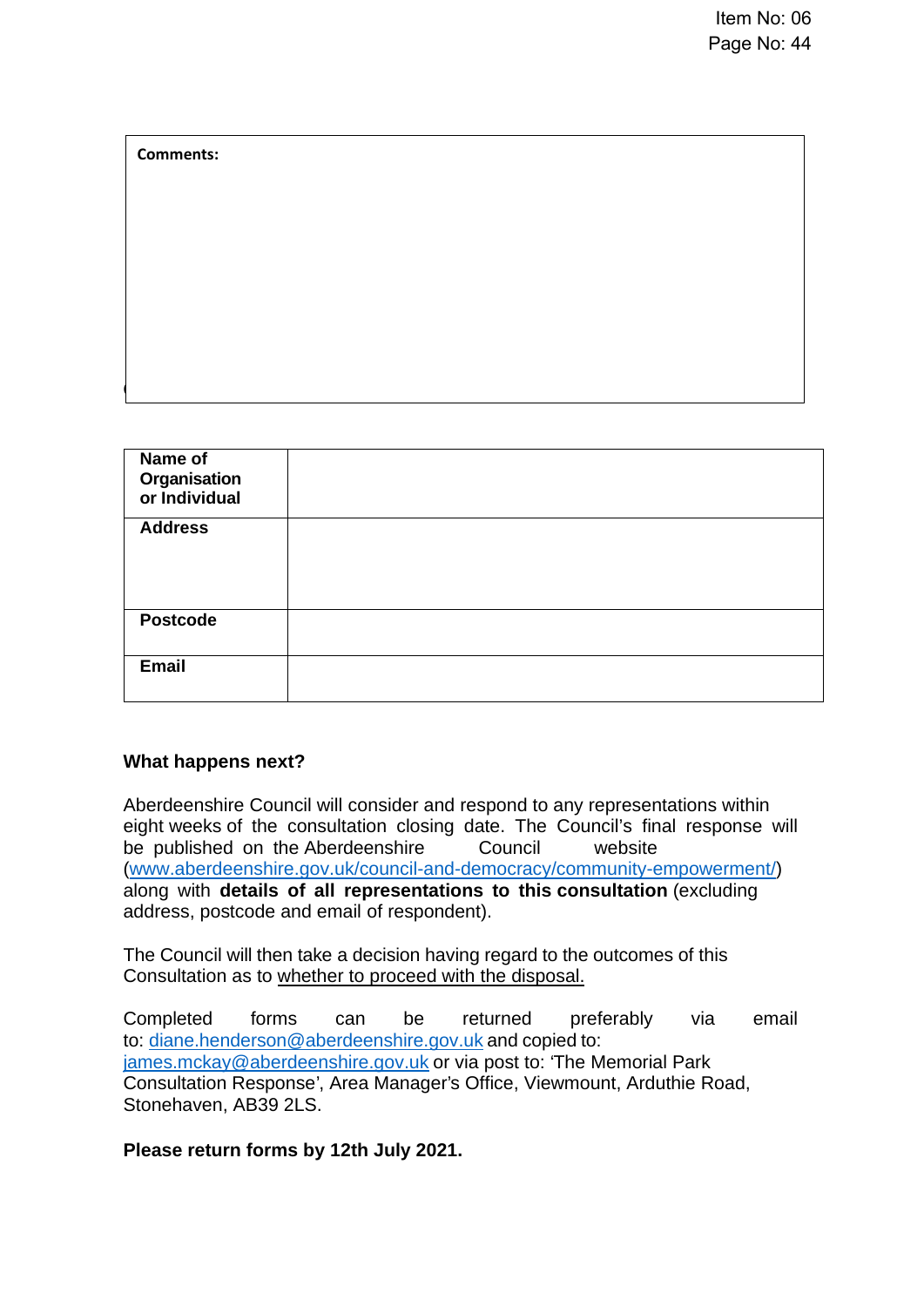| Comments.                                       |  |  |  |
|-------------------------------------------------|--|--|--|
|                                                 |  |  |  |
|                                                 |  |  |  |
|                                                 |  |  |  |
|                                                 |  |  |  |
|                                                 |  |  |  |
|                                                 |  |  |  |
|                                                 |  |  |  |
|                                                 |  |  |  |
| Name of<br><b>Organisation</b><br>or Individual |  |  |  |
| <b>Address</b>                                  |  |  |  |
|                                                 |  |  |  |
|                                                 |  |  |  |
| <b>Postcode</b>                                 |  |  |  |
| Email                                           |  |  |  |
|                                                 |  |  |  |

### **What happens next?**

**Comments:** 

Aberdeenshire Council will consider and respond to any representations within eight weeks of the consultation closing date. The Council's final response will be published on the Aberdeenshire Council website (www.aberdeenshire.gov.uk/council-and-democracy/community-empowerment/) along with **details of all representations to this consultation** (excluding address, postcode and email of respondent).

The Council will then take a decision having regard to the outcomes of this Consultation as to whether to proceed with the disposal.

Completed forms can be returned preferably via email to: diane.henderson@aberdeenshire.gov.uk and copied to: james.mckay@aberdeenshire.gov.uk or via post to: 'The Memorial Park Consultation Response', Area Manager's Office, Viewmount, Arduthie Road, Stonehaven, AB39 2LS.

**Please return forms by 12th July 2021.**